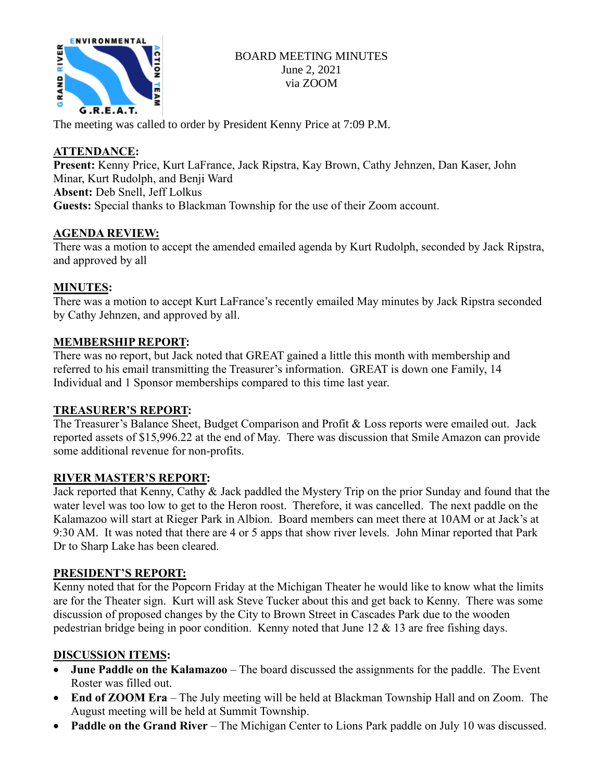

### BOARD MEETING MINUTES June 2, 2021 via ZOOM

The meeting was called to order by President Kenny Price at 7:09 P.M.

# **ATTENDANCE:**

**Present:** Kenny Price, Kurt LaFrance, Jack Ripstra, Kay Brown, Cathy Jehnzen, Dan Kaser, John Minar, Kurt Rudolph, and Benji Ward **Absent:** Deb Snell, Jeff Lolkus **Guests:** Special thanks to Blackman Township for the use of their Zoom account.

### **AGENDA REVIEW:**

There was a motion to accept the amended emailed agenda by Kurt Rudolph, seconded by Jack Ripstra, and approved by all

# **MINUTES:**

There was a motion to accept Kurt LaFrance's recently emailed May minutes by Jack Ripstra seconded by Cathy Jehnzen, and approved by all.

# **MEMBERSHIP REPORT:**

There was no report, but Jack noted that GREAT gained a little this month with membership and referred to his email transmitting the Treasurer's information. GREAT is down one Family, 14 Individual and 1 Sponsor memberships compared to this time last year.

### **TREASURER'S REPORT:**

The Treasurer's Balance Sheet, Budget Comparison and Profit & Loss reports were emailed out. Jack reported assets of \$15,996.22 at the end of May. There was discussion that Smile Amazon can provide some additional revenue for non-profits.

### **RIVER MASTER'S REPORT:**

Jack reported that Kenny, Cathy & Jack paddled the Mystery Trip on the prior Sunday and found that the water level was too low to get to the Heron roost. Therefore, it was cancelled. The next paddle on the Kalamazoo will start at Rieger Park in Albion. Board members can meet there at 10AM or at Jack's at 9:30 AM. It was noted that there are 4 or 5 apps that show river levels. John Minar reported that Park Dr to Sharp Lake has been cleared.

### **PRESIDENT'S REPORT:**

Kenny noted that for the Popcorn Friday at the Michigan Theater he would like to know what the limits are for the Theater sign. Kurt will ask Steve Tucker about this and get back to Kenny. There was some discussion of proposed changes by the City to Brown Street in Cascades Park due to the wooden pedestrian bridge being in poor condition. Kenny noted that June 12 & 13 are free fishing days.

### **DISCUSSION ITEMS:**

- **June Paddle on the Kalamazoo** The board discussed the assignments for the paddle. The Event Roster was filled out.
- **End of ZOOM Era** The July meeting will be held at Blackman Township Hall and on Zoom. The August meeting will be held at Summit Township.
- **Paddle on the Grand River** The Michigan Center to Lions Park paddle on July 10 was discussed.